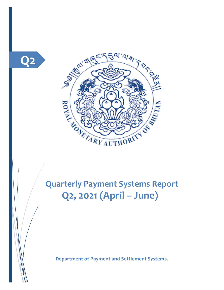



**Quarterly Payment Systems Report Q2, 2021 (April – June))**

**Department of Payment and Settlement Systems.**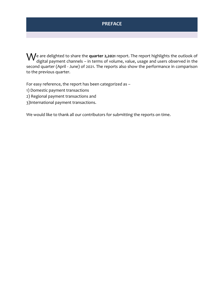### **PREFACE**

 $\bigvee$ e are delighted to share the **quarter 2,2021** report. The report highlights the outlook of<br>digital payment channels – in terms of volume, value, usage and users observed in the digital payment channels – in terms of volume, value, usage and users observed in the second quarter (April - June) of 2021. The reports also show the performance in comparison to the previous quarter.

For easy reference, the report has been categorized as –

- 1) Domestic payment transactions
- 2) Regional payment transactions and
- 3)International payment transactions.

We would like to thank all our contributors for submitting the reports on time.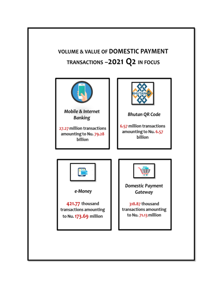# **VOLUME & VALUE OF DOMESTIC PAYMENT** TRANSACTIONS -2021 Q2 IN FOCUS

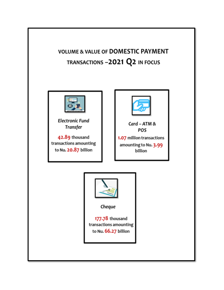**VOLUME & VALUE OF DOMESTIC PAYMENT** TRANSACTIONS -2021 Q2 IN FOCUS



**Electronic Fund** Transfer

42.89 thousand transactions amounting to Nu. 20.87 billion



Card - ATM & POS

1.07 million transactions amounting to Nu. 3.99 billion

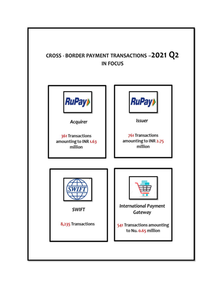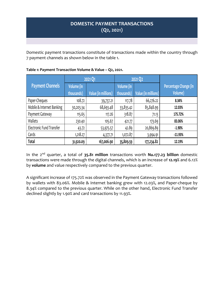### **DOMESTIC PAYMENT TRANSACTIONS (Q2, 2021)**

Domestic payment transactions constitute of transactions made within the country through 7 payment channels as shown below in the table 1.

|                                 | 2021 Q1    |                     | 2021 Q2    |                     |                       |
|---------------------------------|------------|---------------------|------------|---------------------|-----------------------|
| <b>Payment Channels</b>         | Volume (in |                     | Volume (in |                     | Percentage Change (in |
|                                 | thousands) | Value (in millions) | thousands) | Value (in millions) | Volume)               |
| Paper-Cheques                   | 108.72     | 39,737.21           | 117.78     | 66,276.22           | 8.34%                 |
| Mobile & Internet Banking       | 30,203.34  | 68,693.48           | 33,835.42  | 85,848.99           | 12.03%                |
| Payment Gateway                 | 115.65     | 117.26              | 318.87     | 71.13               | 175.72%               |
| Wallets                         | 230.40     | 105.67              | 421.77     | 173.69              | 83.06%                |
| <b>Electronic Fund Transfer</b> | 43.72      | 53,975.57           | 42.89      | 20,869.89           | $-1.90%$              |
| Cards                           | 1,218.27   | 4,377.71            | 1,072.87   | 3,994.91            | $-11.93%$             |
| Total                           | 31,920.09  | 167,006.90          | 35,809.59  | 177,234.82          | 12.19%                |

#### **Table 1: Payment Transaction Volume & Value – Q2, 2021.**

In the 2nd quarter, a total of **35.81 million** transactions worth **Nu.177.23 billion** domestic transactions were made through the digital channels, which is an increase of **12.19%** and 6.12% by **volume** and value respectively compared to the previous quarter.

A significant increase of 175.72% was observed in the Payment Gateway transactions followed by wallets with 83.06%. Mobile & Internet banking grew with 12.03%, and Paper-cheque by 8.34% compared to the previous quarter. While on the other hand, Electronic Fund Transfer declined slightly by 1.90% and card transactions by 11.93%.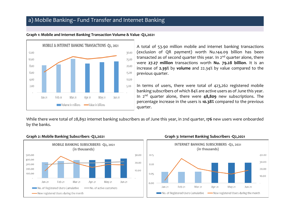### a) Mobile Banking– Fund Transfer and Internet Banking



#### **Graph 1: Mobile and Internet Banking Transaction Volume & Value -Q2,2021**

A total of 53.90 million mobile and internet banking transactions (exclusion of QR payment) worth Nu.144.09 billion has been transacted as of second quarter this year. In  $2<sup>nd</sup>$  quarter alone, there were **27.27 million** transactions worth **Nu. 79.28 billion**. It is an increase of **2.39%** by **volume** and 22.34% by value compared to the previous quarter.

In terms of users, there were total of 423,262 registered mobile banking subscribers of which 84% are active users as of June this year. In 2nd quarter alone, there were **48,809** new subscriptions. The percentage increase in the users is **10.38%** compared to the previous quarter.

While there were total of 28,892 internet banking subscribers as of June this year, in 2nd quarter, **176** new users were onboarded by the banks.

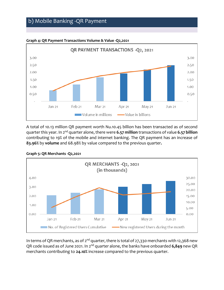### b) Mobile Banking -QR Payment



**Graph 4: QR Payment Transactions Volume & Value -Q2,2021**

A total of 10.13 million QR payment worth Nu.10.45 billion has been transacted as of second quarter this year. In 2nd quarter alone,there were **6.57 million** transactions of value **6.57 billion** contributing to 19% of the mobile and internet banking. The QR payment has an increase of **83.96%** by **volume** and 68.98% by value compared to the previous quarter**.**



**Graph 5: QR Merchants -Q2,2021**

In terms of QR merchants, as of  $2^{nd}$  quarter, there is total of 27,330 merchants with 12,368 new QR code issued as of June 2021. In 2nd quarter alone, the banks have onboarded **6,849** new QR merchants contributing to **24.10%** increase compared to the previous quarter.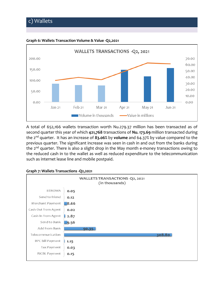## c) Wallets



**Graph 6: Wallets Transaction Volume & Value -Q2,2021**

A total of 652,166 wallets transaction worth Nu.279.37 million has been transacted as of second quarter this year of which **421,768** transactions of **Nu. 173.69** million transacted during the 2nd quarter. It has an increase of **83.06%** by **volume** and 64.37% by value compared to the previous quarter. The significant increase was seen in cash in and out from the banks during the 2<sup>nd</sup> quarter. There is also a slight drop in the May month e-money transactions owing to the reduced cash in to the wallet as well as reduced expenditure to the telecommunication such as internet lease line and mobile postpaid.



#### **Graph 7: Wallets Transactions -Q2,2021**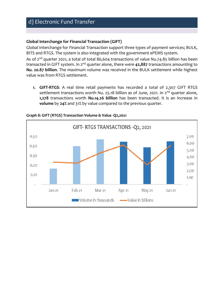## d) Electronic Fund Transfer

#### **Global Interchange for Financial Transaction (GIFT)**

Global Interchange for Financial Transaction support three types of payment services; BULK, BITS and RTGS. The system is also integrated with the government ePEMS system.

As of 2<sup>nd</sup> quarter 2021, a total of total 86,604 transactions of value Nu.74.85 billion has been transacted in GIFT system. In 2nd quarter alone, there were **42,887** transactions amounting to **Nu. 20.87 billion**. The maximum volume was received in the BULK settlement while highest value was from RTGS settlement.

**1. GIFT-RTGS**: A real time retail payments has recorded a total of 2,307 GIFT RTGS settlement transactions worth Nu. 25.18 billion as of June, 2021. In  $2^{nd}$  quarter alone, **1,278** transactions worth **Nu.14.26 billion** has been transacted. It is an increase in **volume** by **24%** and 31% by value compared to the previous quarter.



#### **Graph 8: GIFT (RTGS) Transaction Volume & Value -Q2,2021**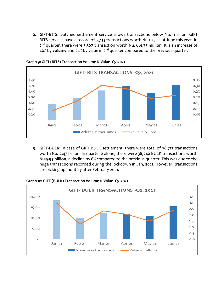**2. GIFT-BITS:** Batched settlement service allows transactions below Nu.1 million. GIFT BITS services have a record of 5,733 transactions worth Nu.1.23 as of June this year. In 2 nd quarter, there were **3,367** transaction worth **Nu. 681.75 million**. It is an increase of **42%** by **volume** and 24% by value in 2nd quarter compared to the previous quarter.



**Graph 9: GIFT (BITS) Transaction Volume & Value -Q2,2021**

**3. GIFT-BULK:** In case of GIFT BULK settlement, there were total of 78,713 transactions worth Nu.12.47 billion. In quarter 2 alone, there were **38,242** BULK transactions worth **Nu.5.93 billion**, a decline by **6%** compared to the previous quarter. This was due to the huge transactions recorded during the lockdown in Jan, 2021. However, transactions are picking up monthly after February 2021.



**Graph 10: GIFT (BULK) Transaction Volume & Value -Q2,2021**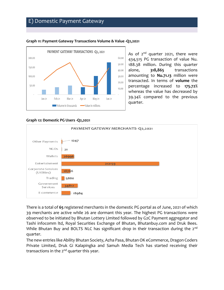### E) Domestic Payment Gateway



#### **Graph 11: Payment Gateway Transactions Volume & Value -Q2,2021**

As of  $2^{nd}$  quarter 2021, there were 434,515 PG transaction of value Nu. 188.38 million. During this quarter alone, **318,865** transactions amounting to **Nu.71.13** million were transacted. In terms of **volume** the percentage increased to **175.72%** whereas the value has decreased by 39.34% compared to the previous quarter.

#### **Graph 12: Domestic PG Users -Q2,2021**



There is a total of **65** registered merchants in the domestic PG portal as of June, 2021 of which 39 merchants are active while 26 are dormant this year. The highest PG transactions were observed to be initiated by Bhutan Lottery Limited followed by G2C Payment aggregator and Tashi infocomm ltd, Royal Securities Exchange of Bhutan, Bhutanbuy.com and Druk Bees. While Bhutan Buy and BOLTS NLC has significant drop in their transaction during the 2<sup>nd</sup> quarter.

The new entries like Ability Bhutan Society, Azha Pasa, Bhutan OK eCommerce, Dragon Coders Private Limited, Druk Gi Kalapingka and Samuh Media Tech has started receiving their transactions in the  $2^{nd}$  quarter this year.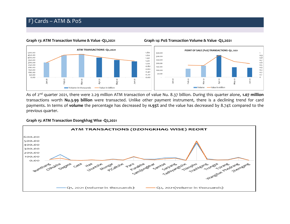#### **Graph 13: ATM Transaction Volume & Value -Q2,2021 Graph 14: PoS Transaction Volume & Value -Q2,2021**



As of 2nd quarter 2021, there were 2.29 million ATM transaction of value Nu. 8.37 billion. During this quarter alone, **1.07 million** transactions worth **Nu.3.99 billion** were transacted. Unlike other payment instrument, there is a declining trend for card payments. In terms of **volume** the percentage has decreased by **11.93%** and the value has decreased by 8.74% compared to the previous quarter.

#### **Graph 15: ATM Transaction Dzongkhag Wise -Q2,2021**

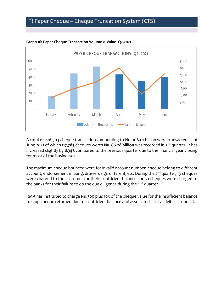## F) Paper Cheque – Cheque Truncation System (CTS)



#### **Graph 16: Paper Cheque Transaction Volume & Value -Q2,2021**

A total of 226,503 cheque transactions amounting to Nu. 106.01 billion were transacted as of June 2021 of which **117,783** cheques worth **Nu. 66.28 billion** was recorded in 2nd quarter. It has increased slightly by **8.34%** compared to the previous quarter due to the financial year closing for most of the businesses.

The maximum cheque bounced were for invalid account number, cheque belong to different account, endorsement missing, drawers sign different, etc. During the 2<sup>nd</sup> quarter, 19 cheques were charged to the customer for their insufficient balance and 71 cheques were charged to the banks for their failure to do the due diligence during the 2<sup>nd</sup> quarter.

RMA has instituted to charge Nu.300 plus 10% of the cheque value for the insufficient balance to stop cheque returned due to insufficient balance and associated illicit activities around it.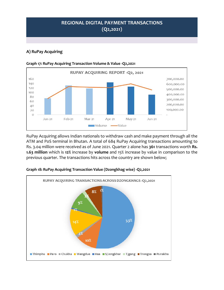### **REGIONAL DIGITAL PAYMENT TRANSACTIONS (Q2,2021)**

### **A) RuPay Acquiring**



**Graph 17: RuPay Acquiring Transaction Volume & Value -Q2,2021** 

RuPay Acquiring allows Indian nationals to withdraw cash and make payment through all the ATM and PoS terminal in Bhutan. A total of 684 RuPay Acquiring transactions amounting to Rs. 3.04 million were received as of June 2021. Quarter 2 alone has **361** transactions worth **Rs. 1.63 million** which is **12%** increase by **volume** and 15% increase by value in comparison to the previous quarter. The transactions hits across the country are shown below;



#### **Graph 18: RuPay Acquiring Transaction Value (Dzongkhag wise) -Q2,2021**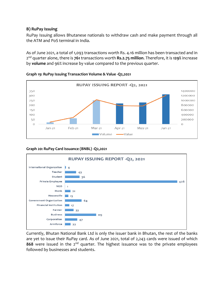#### **B) RuPay Issuing**

RuPay Issuing allows Bhutanese nationals to withdraw cash and make payment through all the ATM and PoS terminal in India.

As of June 2021, a total of 1,093 transactions worth Rs. 4.16 million has been transacted and in 2 nd quarter alone, there is **761** transactions worth **Rs.2.75 million**. Therefore, it is **129%** increase by **volume** and 96% increase by value compared to the previous quarter.



#### **Graph 19: RuPay Issuing Transaction Volume & Value -Q2,2021**

#### **Graph 20: RuPay Card Issuance (BNBL) -Q2,2021**



Currently, Bhutan National Bank Ltd is only the issuer bank in Bhutan, the rest of the banks are yet to issue their RuPay card. As of June 2021, total of 2,243 cards were issued of which 868 were issued in the 2<sup>nd</sup> quarter. The highest issuance was to the private employees followed by businesses and students.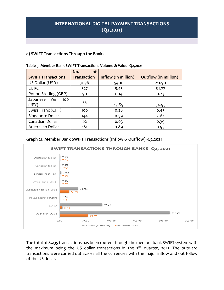### **INTERNATIONAL DIGITAL PAYMENT TRANSACTIONS (Q2,2021)**

#### **a) SWIFT Transactions Through the Banks**

|                           | оf<br>No.          |                     |                             |
|---------------------------|--------------------|---------------------|-----------------------------|
| <b>SWIFT Transactions</b> | <b>Transaction</b> | Inflow (in million) | <b>Outflow (in million)</b> |
| US Dollar (USD)           | 7076               | 54.10               | 211.90                      |
| <b>EURO</b>               | 527                | 5.43                | 81.77                       |
| Pound Sterling (GBP)      | 90                 | 0.14                | 0.23                        |
| Japanese Yen<br>100       |                    |                     |                             |
| (JPY)                     | 55                 | 17.89               | 34.93                       |
| Swiss Franc (CHF)         | 100                | 0.28                | 0.45                        |
| Singapore Dollar          | 144                | 0.59                | 2.62                        |
| Canadian Dollar           | 62                 | 0.03                | 0.39                        |
| Australian Dollar         | 181                | 0.89                | 0.93                        |

#### **Table 3: Member Bank SWIFT Transactions Volume & Value -Q2,2021**

#### **Graph 21: Member Bank SWIFT Transactions (Inflow & Outflow) -Q2,2021**



The total of **8,235** transactions has been routed through the member bank SWIFT system with the maximum being the US dollar transactions in the  $2<sup>nd</sup>$  quarter, 2021. The outward transactions were carried out across all the currencies with the major inflow and out follow of the US dollar.